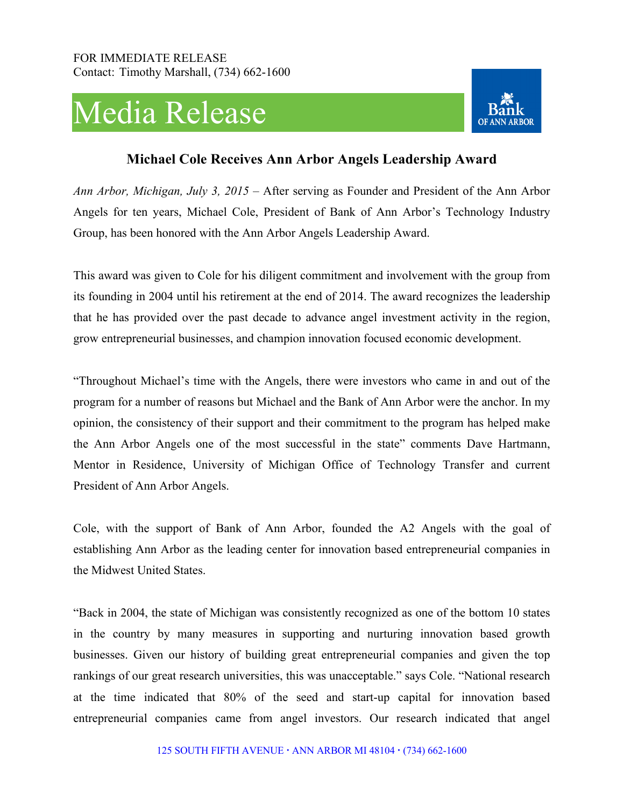## Media Release



## **Michael Cole Receives Ann Arbor Angels Leadership Award**

*Ann Arbor, Michigan, July 3, 2015* – After serving as Founder and President of the Ann Arbor Angels for ten years, Michael Cole, President of Bank of Ann Arbor's Technology Industry Group, has been honored with the Ann Arbor Angels Leadership Award.

This award was given to Cole for his diligent commitment and involvement with the group from its founding in 2004 until his retirement at the end of 2014. The award recognizes the leadership that he has provided over the past decade to advance angel investment activity in the region, grow entrepreneurial businesses, and champion innovation focused economic development.

"Throughout Michael's time with the Angels, there were investors who came in and out of the program for a number of reasons but Michael and the Bank of Ann Arbor were the anchor. In my opinion, the consistency of their support and their commitment to the program has helped make the Ann Arbor Angels one of the most successful in the state" comments Dave Hartmann, Mentor in Residence, University of Michigan Office of Technology Transfer and current President of Ann Arbor Angels.

Cole, with the support of Bank of Ann Arbor, founded the A2 Angels with the goal of establishing Ann Arbor as the leading center for innovation based entrepreneurial companies in the Midwest United States.

"Back in 2004, the state of Michigan was consistently recognized as one of the bottom 10 states in the country by many measures in supporting and nurturing innovation based growth businesses. Given our history of building great entrepreneurial companies and given the top rankings of our great research universities, this was unacceptable." says Cole. "National research at the time indicated that 80% of the seed and start-up capital for innovation based entrepreneurial companies came from angel investors. Our research indicated that angel